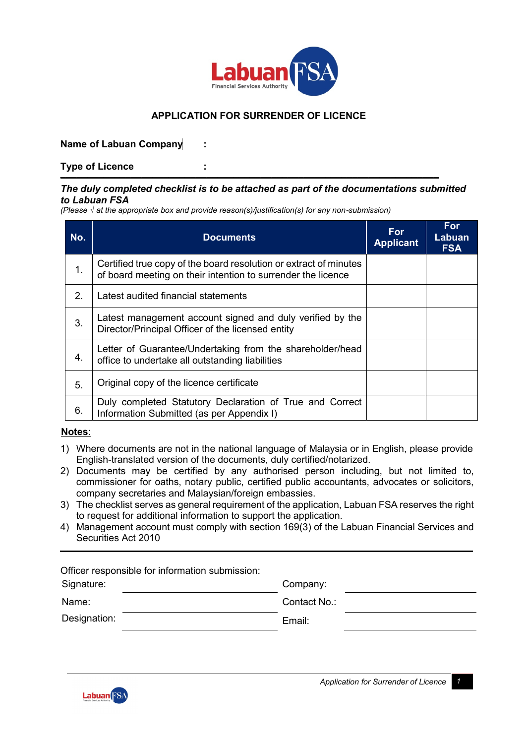

# **APPLICATION FOR SURRENDER OF LICENCE**

### **Name of Labuan Company :**

**Type of Licence : \_\_\_\_\_\_\_\_\_\_\_\_\_\_\_\_\_\_\_\_\_\_\_\_\_\_\_\_\_\_\_\_\_\_\_\_\_\_\_\_\_\_\_\_\_\_\_\_\_\_\_\_\_\_\_\_\_\_\_\_\_\_\_\_\_\_\_\_\_\_**

#### *The duly completed checklist is to be attached as part of the documentations submitted to Labuan FSA*

*(Please √ at the appropriate box and provide reason(s)/justification(s) for any non-submission)*

| No. | <b>Documents</b>                                                                                                                  | <b>For</b><br><b>Applicant</b> | <b>For</b><br>Labuan<br><b>FSA</b> |
|-----|-----------------------------------------------------------------------------------------------------------------------------------|--------------------------------|------------------------------------|
| 1.  | Certified true copy of the board resolution or extract of minutes<br>of board meeting on their intention to surrender the licence |                                |                                    |
| 2.  | Latest audited financial statements                                                                                               |                                |                                    |
| 3.  | Latest management account signed and duly verified by the<br>Director/Principal Officer of the licensed entity                    |                                |                                    |
| 4.  | Letter of Guarantee/Undertaking from the shareholder/head<br>office to undertake all outstanding liabilities                      |                                |                                    |
| 5.  | Original copy of the licence certificate                                                                                          |                                |                                    |
| 6.  | Duly completed Statutory Declaration of True and Correct<br>Information Submitted (as per Appendix I)                             |                                |                                    |

### **Notes**:

- 1) Where documents are not in the national language of Malaysia or in English, please provide English-translated version of the documents, duly certified/notarized.
- 2) Documents may be certified by any authorised person including, but not limited to, commissioner for oaths, notary public, certified public accountants, advocates or solicitors, company secretaries and Malaysian/foreign embassies.
- 3) The checklist serves as general requirement of the application, Labuan FSA reserves the right to request for additional information to support the application.
- 4) Management account must comply with section 169(3) of the Labuan Financial Services and Securities Act 2010

| Officer responsible for information submission: |  |              |  |  |  |
|-------------------------------------------------|--|--------------|--|--|--|
| Signature:                                      |  | Company:     |  |  |  |
| Name:                                           |  | Contact No.: |  |  |  |
| Designation:                                    |  | Email:       |  |  |  |
|                                                 |  |              |  |  |  |